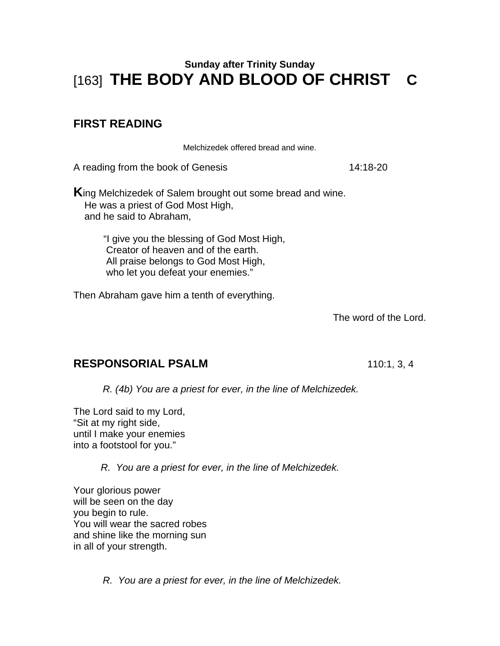# **Sunday after Trinity Sunday**  [163] **THE BODY AND BLOOD OF CHRIST C**

## **FIRST READING**

Melchizedek offered bread and wine.

A reading from the book of Genesis 14:18-20

**K**ing Melchizedek of Salem brought out some bread and wine. He was a priest of God Most High, and he said to Abraham,

> "I give you the blessing of God Most High, Creator of heaven and of the earth. All praise belongs to God Most High, who let you defeat your enemies."

Then Abraham gave him a tenth of everything.

The word of the Lord.

#### **RESPONSORIAL PSALM** 110:1, 3, 4

*R. (4b) You are a priest for ever, in the line of Melchizedek.* 

The Lord said to my Lord, "Sit at my right side, until I make your enemies into a footstool for you."

 *R. You are a priest for ever, in the line of Melchizedek.* 

Your glorious power will be seen on the day you begin to rule. You will wear the sacred robes and shine like the morning sun in all of your strength.

*R. You are a priest for ever, in the line of Melchizedek.*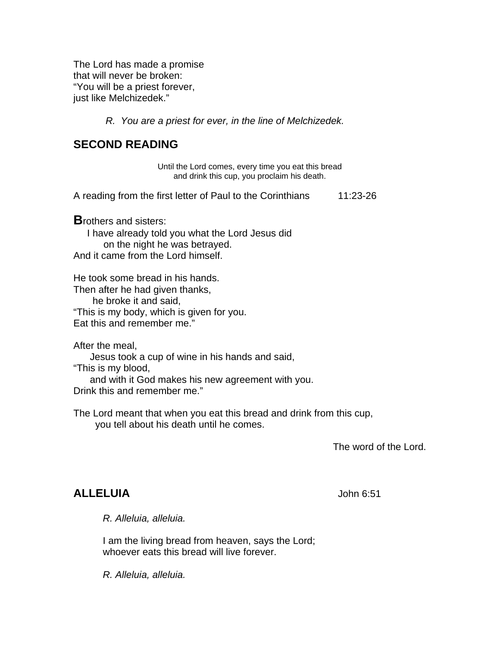The Lord has made a promise that will never be broken: "You will be a priest forever, just like Melchizedek."

 *R. You are a priest for ever, in the line of Melchizedek.* 

#### **SECOND READING**

Until the Lord comes, every time you eat this bread and drink this cup, you proclaim his death.

A reading from the first letter of Paul to the Corinthians 11:23-26

**B**rothers and sisters:

 I have already told you what the Lord Jesus did on the night he was betrayed. And it came from the Lord himself.

He took some bread in his hands. Then after he had given thanks, he broke it and said, "This is my body, which is given for you. Eat this and remember me."

After the meal,

Jesus took a cup of wine in his hands and said,

"This is my blood,

and with it God makes his new agreement with you.

Drink this and remember me."

The Lord meant that when you eat this bread and drink from this cup, you tell about his death until he comes.

The word of the Lord.

#### **ALLELUIA** John 6:51

 *R. Alleluia, alleluia.* 

I am the living bread from heaven, says the Lord; whoever eats this bread will live forever.

*R. Alleluia, alleluia.*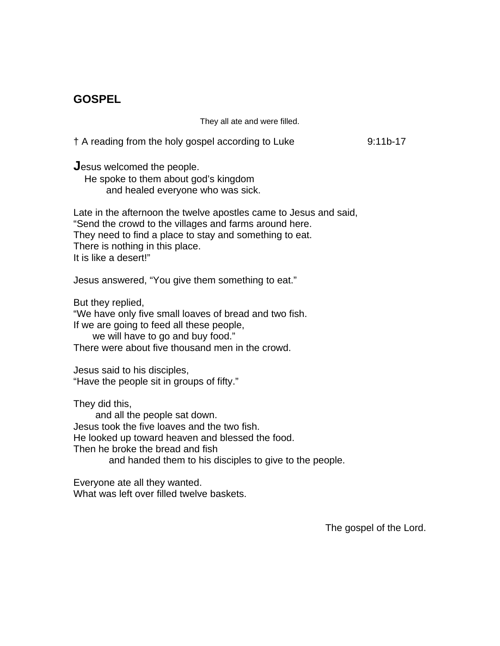### **GOSPEL**

They all ate and were filled.

† A reading from the holy gospel according to Luke 9:11b-17

**J**esus welcomed the people.

 He spoke to them about god's kingdom and healed everyone who was sick.

Late in the afternoon the twelve apostles came to Jesus and said, "Send the crowd to the villages and farms around here. They need to find a place to stay and something to eat. There is nothing in this place. It is like a desert!"

Jesus answered, "You give them something to eat."

But they replied,

"We have only five small loaves of bread and two fish. If we are going to feed all these people,

we will have to go and buy food."

There were about five thousand men in the crowd.

Jesus said to his disciples, "Have the people sit in groups of fifty."

They did this,

 and all the people sat down. Jesus took the five loaves and the two fish. He looked up toward heaven and blessed the food. Then he broke the bread and fish and handed them to his disciples to give to the people.

Everyone ate all they wanted. What was left over filled twelve baskets.

The gospel of the Lord.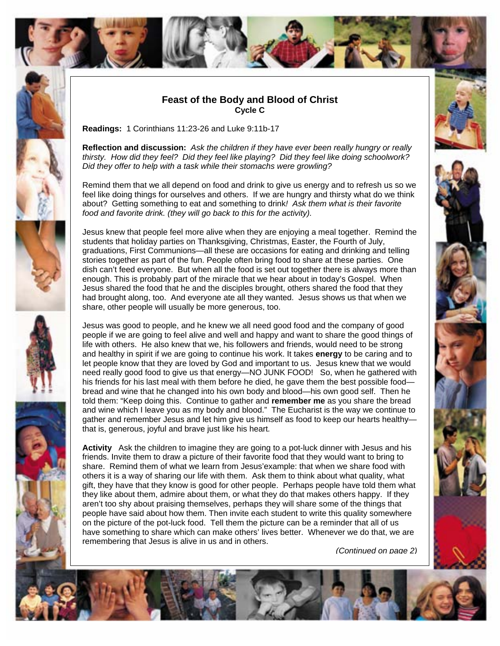

#### **Feast of the Body and Blood of Christ Cycle C**

**Readings:** 1 Corinthians 11:23-26 and Luke 9:11b-17

**Reflection and discussion:** *Ask the children if they have ever been really hungry or really thirsty. How did they feel? Did they feel like playing? Did they feel like doing schoolwork? Did they offer to help with a task while their stomachs were growling?* 

Remind them that we all depend on food and drink to give us energy and to refresh us so we feel like doing things for ourselves and others. If we are hungry and thirsty what do we think about? Getting something to eat and something to drink*! Ask them what is their favorite food and favorite drink. (they will go back to this for the activity).* 

Jesus knew that people feel more alive when they are enjoying a meal together. Remind the students that holiday parties on Thanksgiving, Christmas, Easter, the Fourth of July, graduations, First Communions—all these are occasions for eating and drinking and telling stories together as part of the fun. People often bring food to share at these parties. One dish can't feed everyone. But when all the food is set out together there is always more than enough. This is probably part of the miracle that we hear about in today's Gospel. When Jesus shared the food that he and the disciples brought, others shared the food that they had brought along, too. And everyone ate all they wanted. Jesus shows us that when we share, other people will usually be more generous, too.

Jesus was good to people, and he knew we all need good food and the company of good people if we are going to feel alive and well and happy and want to share the good things of life with others. He also knew that we, his followers and friends, would need to be strong and healthy in spirit if we are going to continue his work. It takes **energy** to be caring and to let people know that they are loved by God and important to us. Jesus knew that we would need really good food to give us that energy—NO JUNK FOOD! So, when he gathered with his friends for his last meal with them before he died, he gave them the best possible foodbread and wine that he changed into his own body and blood—his own good self. Then he told them: "Keep doing this. Continue to gather and **remember me** as you share the bread and wine which I leave you as my body and blood." The Eucharist is the way we continue to gather and remember Jesus and let him give us himself as food to keep our hearts healthy that is, generous, joyful and brave just like his heart*.* 

**Activity** Ask the children to imagine they are going to a pot-luck dinner with Jesus and his friends. Invite them to draw a picture of their favorite food that they would want to bring to share. Remind them of what we learn from Jesus'example: that when we share food with others it is a way of sharing our life with them. Ask them to think about what quality, what gift, they have that they know is good for other people. Perhaps people have told them what they like about them, admire about them, or what they do that makes others happy. If they aren't too shy about praising themselves, perhaps they will share some of the things that people have said about how them. Then invite each student to write this quality somewhere on the picture of the pot-luck food. Tell them the picture can be a reminder that all of us have something to share which can make others' lives better. Whenever we do that, we are remembering that Jesus is alive in us and in others.

*(Continued on page 2)*